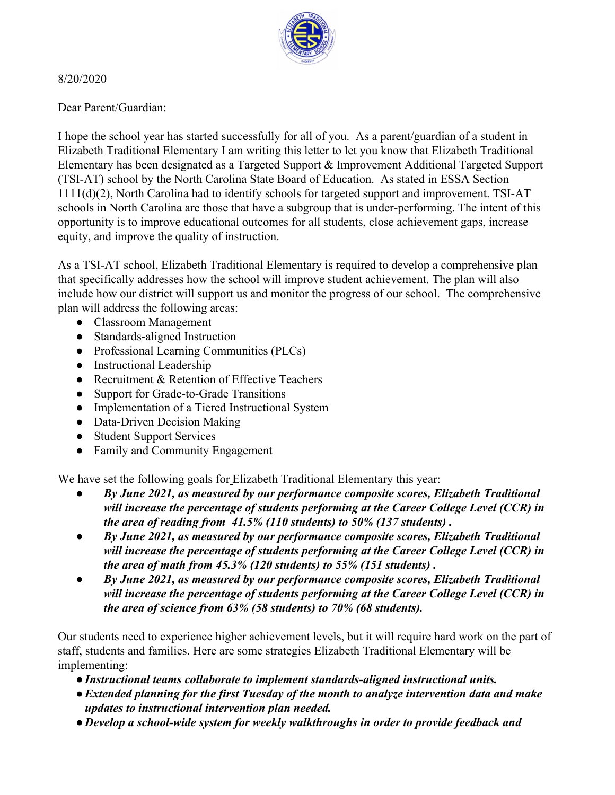

## 8/20/2020

Dear Parent/Guardian:

I hope the school year has started successfully for all of you. As a parent/guardian of a student in Elizabeth Traditional Elementary I am writing this letter to let you know that Elizabeth Traditional Elementary has been designated as a Targeted Support & Improvement Additional Targeted Support (TSI-AT) school by the North Carolina State Board of Education. As stated in ESSA Section 1111(d)(2), North Carolina had to identify schools for targeted support and improvement. TSI-AT schools in North Carolina are those that have a subgroup that is under-performing. The intent of this opportunity is to improve educational outcomes for all students, close achievement gaps, increase equity, and improve the quality of instruction.

As a TSI-AT school, Elizabeth Traditional Elementary is required to develop a comprehensive plan that specifically addresses how the school will improve student achievement. The plan will also include how our district will support us and monitor the progress of our school. The comprehensive plan will address the following areas:

- Classroom Management
- Standards-aligned Instruction
- Professional Learning Communities (PLCs)
- Instructional Leadership
- Recruitment & Retention of Effective Teachers
- Support for Grade-to-Grade Transitions
- Implementation of a Tiered Instructional System
- Data-Driven Decision Making
- Student Support Services
- Family and Community Engagement

We have set the following goals for Elizabeth Traditional Elementary this year:

- *By June 2021, as measured by our performance composite scores, Elizabeth Traditional will increase the percentage of students performing at the Career College Level (CCR) in the area of reading from 41.5% (110 students) to 50% (137 students) .*
- *By June 2021, as measured by our performance composite scores, Elizabeth Traditional will increase the percentage of students performing at the Career College Level (CCR) in the area of math from 45.3% (120 students) to 55% (151 students) .*
- *● By June 2021, as measured by our performance composite scores, Elizabeth Traditional will increase the percentage of students performing at the Career College Level (CCR) in the area of science from 63% (58 students) to 70% (68 students).*

Our students need to experience higher achievement levels, but it will require hard work on the part of staff, students and families. Here are some strategies Elizabeth Traditional Elementary will be implementing:

- *●Instructional teams collaborate to implement standards-aligned instructional units.*
- *●Extended planning for the first Tuesday of the month to analyze intervention data and make updates to instructional intervention plan needed.*
- *● Develop a school-wide system for weekly walkthroughs in order to provide feedback and*